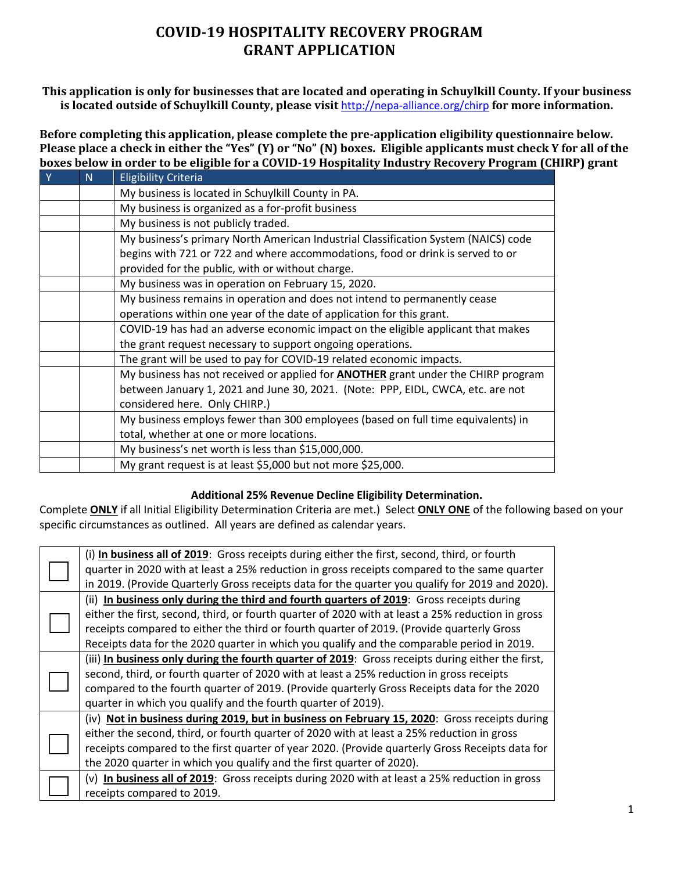### **COVID-19 HOSPITALITY RECOVERY PROGRAM GRANT APPLICATION**

#### **This application is only for businesses that are located and operating in Schuylkill County. If your business is located outside of Schuylkill County, please visit** <http://nepa-alliance.org/chirp> **for more information.**

**Before completing this application, please complete the pre-application eligibility questionnaire below. Please place a check in either the "Yes" (Y) or "No" (N) boxes. Eligible applicants must check Y for all of the boxes below in order to be eligible for a COVID-19 Hospitality Industry Recovery Program (CHIRP) grant**

| Y | N | <b>Eligibility Criteria</b>                                                              |  |  |  |
|---|---|------------------------------------------------------------------------------------------|--|--|--|
|   |   | My business is located in Schuylkill County in PA.                                       |  |  |  |
|   |   | My business is organized as a for-profit business                                        |  |  |  |
|   |   | My business is not publicly traded.                                                      |  |  |  |
|   |   | My business's primary North American Industrial Classification System (NAICS) code       |  |  |  |
|   |   | begins with 721 or 722 and where accommodations, food or drink is served to or           |  |  |  |
|   |   | provided for the public, with or without charge.                                         |  |  |  |
|   |   | My business was in operation on February 15, 2020.                                       |  |  |  |
|   |   | My business remains in operation and does not intend to permanently cease                |  |  |  |
|   |   | operations within one year of the date of application for this grant.                    |  |  |  |
|   |   | COVID-19 has had an adverse economic impact on the eligible applicant that makes         |  |  |  |
|   |   | the grant request necessary to support ongoing operations.                               |  |  |  |
|   |   | The grant will be used to pay for COVID-19 related economic impacts.                     |  |  |  |
|   |   | My business has not received or applied for <b>ANOTHER</b> grant under the CHIRP program |  |  |  |
|   |   | between January 1, 2021 and June 30, 2021. (Note: PPP, EIDL, CWCA, etc. are not          |  |  |  |
|   |   | considered here. Only CHIRP.)                                                            |  |  |  |
|   |   | My business employs fewer than 300 employees (based on full time equivalents) in         |  |  |  |
|   |   | total, whether at one or more locations.                                                 |  |  |  |
|   |   | My business's net worth is less than \$15,000,000.                                       |  |  |  |
|   |   | My grant request is at least \$5,000 but not more \$25,000.                              |  |  |  |

#### **Additional 25% Revenue Decline Eligibility Determination.**

Complete **ONLY** if all Initial Eligibility Determination Criteria are met.) Select **ONLY ONE** of the following based on your specific circumstances as outlined. All years are defined as calendar years.

|  | (i) In business all of 2019: Gross receipts during either the first, second, third, or fourth     |
|--|---------------------------------------------------------------------------------------------------|
|  | quarter in 2020 with at least a 25% reduction in gross receipts compared to the same quarter      |
|  | in 2019. (Provide Quarterly Gross receipts data for the quarter you qualify for 2019 and 2020).   |
|  | (ii) In business only during the third and fourth quarters of 2019: Gross receipts during         |
|  | either the first, second, third, or fourth quarter of 2020 with at least a 25% reduction in gross |
|  | receipts compared to either the third or fourth quarter of 2019. (Provide quarterly Gross         |
|  | Receipts data for the 2020 quarter in which you qualify and the comparable period in 2019.        |
|  | (iii) In business only during the fourth quarter of 2019: Gross receipts during either the first, |
|  | second, third, or fourth quarter of 2020 with at least a 25% reduction in gross receipts          |
|  | compared to the fourth quarter of 2019. (Provide quarterly Gross Receipts data for the 2020       |
|  | quarter in which you qualify and the fourth quarter of 2019).                                     |
|  | (iv) Not in business during 2019, but in business on February 15, 2020: Gross receipts during     |
|  | either the second, third, or fourth quarter of 2020 with at least a 25% reduction in gross        |
|  | receipts compared to the first quarter of year 2020. (Provide quarterly Gross Receipts data for   |
|  | the 2020 quarter in which you qualify and the first quarter of 2020).                             |
|  | (v) In business all of 2019: Gross receipts during 2020 with at least a 25% reduction in gross    |
|  | receipts compared to 2019.                                                                        |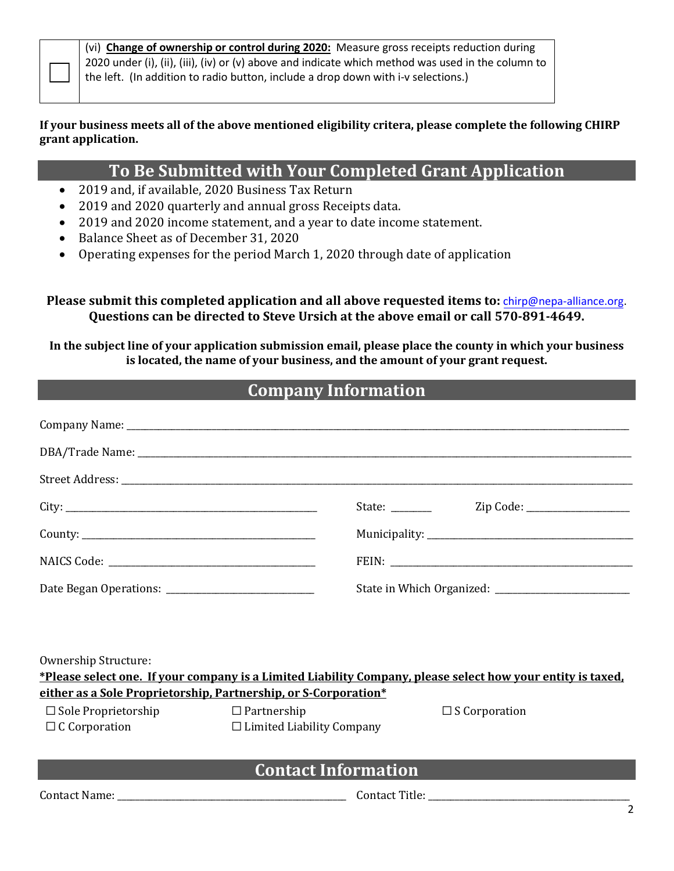(vi) **Change of ownership or control during 2020:** Measure gross receipts reduction during 2020 under (i), (ii), (iii), (iv) or (v) above and indicate which method was used in the column to the left. (In addition to radio button, include a drop down with i-v selections.)

#### **If your business meets all of the above mentioned eligibility critera, please complete the following CHIRP grant application.**

## **To Be Submitted with Your Completed Grant Application**

- 2019 and, if available, 2020 Business Tax Return
- 2019 and 2020 quarterly and annual gross Receipts data.
- 2019 and 2020 income statement, and a year to date income statement.
- Balance Sheet as of December 31, 2020
- Operating expenses for the period March 1, 2020 through date of application

**Please submit this completed application and all above requested items to:** [chirp@nepa-alliance.org.](mailto:chirp@nepa-alliance.org)  **Questions can be directed to Steve Ursich at the above email or call 570-891-4649.**

**In the subject line of your application submission email, please place the county in which your business is located, the name of your business, and the amount of your grant request.** 

# **Company Information**

| Ownership Structure:<br>*Please select one. If your company is a Limited Liability Company, please select how your entity is taxed.<br>either as a Sole Proprietorship, Partnership, or S-Corporation*<br>$\Box$ Sole Proprietorship<br>$\Box$ S Corporation<br>$\square$ Partnership<br>$\Box$ C Corporation<br>$\Box$ Limited Liability Company |                            |  |  |  |
|---------------------------------------------------------------------------------------------------------------------------------------------------------------------------------------------------------------------------------------------------------------------------------------------------------------------------------------------------|----------------------------|--|--|--|
|                                                                                                                                                                                                                                                                                                                                                   | <b>Contact Information</b> |  |  |  |
|                                                                                                                                                                                                                                                                                                                                                   |                            |  |  |  |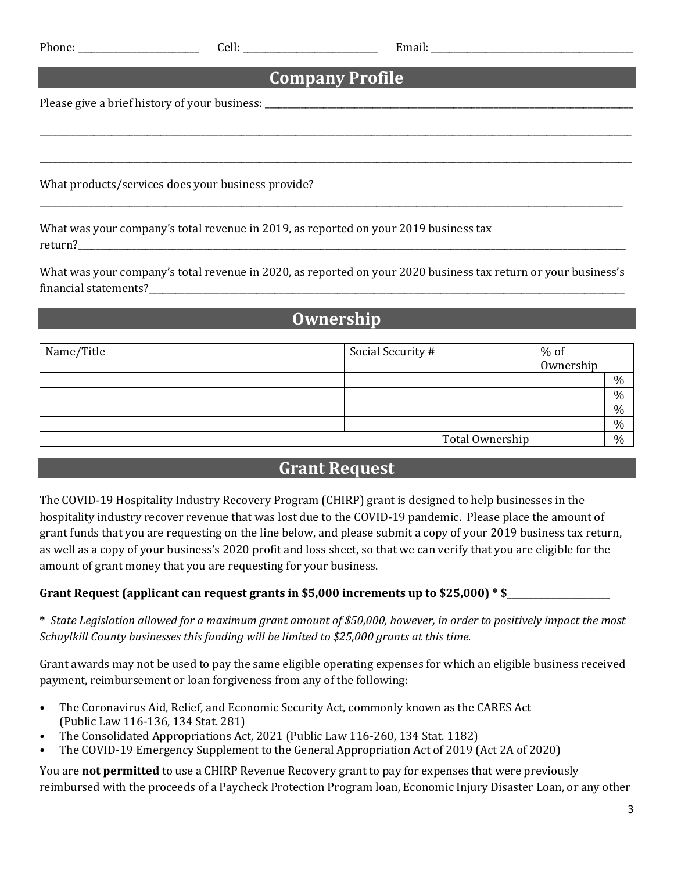| n<br>Ω |  |
|--------|--|
|        |  |

### **Company Profile**

\_\_\_\_\_\_\_\_\_\_\_\_\_\_\_\_\_\_\_\_\_\_\_\_\_\_\_\_\_\_\_\_\_\_\_\_\_\_\_\_\_\_\_\_\_\_\_\_\_\_\_\_\_\_\_\_\_\_\_\_\_\_\_\_\_\_\_\_\_\_\_\_\_\_\_\_\_\_\_\_\_\_\_\_\_\_\_\_\_\_\_\_\_\_\_\_\_\_\_\_\_\_\_\_\_\_\_\_\_\_\_\_\_\_\_\_\_\_\_\_\_\_\_\_\_\_\_\_\_\_\_\_

\_\_\_\_\_\_\_\_\_\_\_\_\_\_\_\_\_\_\_\_\_\_\_\_\_\_\_\_\_\_\_\_\_\_\_\_\_\_\_\_\_\_\_\_\_\_\_\_\_\_\_\_\_\_\_\_\_\_\_\_\_\_\_\_\_\_\_\_\_\_\_\_\_\_\_\_\_\_\_\_\_\_\_\_\_\_\_\_\_\_\_\_\_\_\_\_\_\_\_\_\_\_\_\_\_\_\_\_\_\_\_\_\_\_\_\_\_\_\_\_\_\_\_\_\_\_\_\_\_\_\_\_

\_\_\_\_\_\_\_\_\_\_\_\_\_\_\_\_\_\_\_\_\_\_\_\_\_\_\_\_\_\_\_\_\_\_\_\_\_\_\_\_\_\_\_\_\_\_\_\_\_\_\_\_\_\_\_\_\_\_\_\_\_\_\_\_\_\_\_\_\_\_\_\_\_\_\_\_\_\_\_\_\_\_\_\_\_\_\_\_\_\_\_\_\_\_\_\_\_\_\_\_\_\_\_\_\_\_\_\_\_\_\_\_\_\_\_\_\_\_\_\_\_\_\_\_\_\_\_\_\_\_

Please give a brief history of your business: \_\_\_\_\_\_\_\_\_\_\_\_\_\_\_\_\_\_\_\_\_\_\_\_\_\_\_\_\_\_\_\_\_\_

What products/services does your business provide?

What was your company's total revenue in 2019, as reported on your 2019 business tax return?\_\_\_\_\_\_\_\_\_\_\_\_\_\_\_\_\_\_\_\_\_\_\_\_\_\_\_\_\_\_\_\_\_\_\_\_\_\_\_\_\_\_\_\_\_\_\_\_\_\_\_\_\_\_\_\_\_\_\_\_\_\_\_\_\_\_\_\_\_\_\_\_\_\_\_\_\_\_\_\_\_\_\_\_\_\_\_\_\_\_\_\_\_\_\_\_\_\_\_\_\_\_\_\_\_\_\_\_\_\_\_\_\_\_\_\_\_\_\_\_\_\_

What was your company's total revenue in 2020, as reported on your 2020 business tax return or your business's financial statements?

## **Ownership**

| Name/Title | Social Security # | % of<br>Ownership |      |
|------------|-------------------|-------------------|------|
|            |                   |                   |      |
|            |                   |                   | %    |
|            |                   |                   | $\%$ |
|            |                   |                   | $\%$ |
|            |                   |                   | $\%$ |
|            | Total Ownership   |                   | $\%$ |

### **Grant Request**

The COVID-19 Hospitality Industry Recovery Program (CHIRP) grant is designed to help businesses in the hospitality industry recover revenue that was lost due to the COVID-19 pandemic. Please place the amount of grant funds that you are requesting on the line below, and please submit a copy of your 2019 business tax return, as well as a copy of your business's 2020 profit and loss sheet, so that we can verify that you are eligible for the amount of grant money that you are requesting for your business.

### **Grant Request (applicant can request grants in \$5,000 increments up to \$25,000) \* \$\_\_\_\_\_\_\_\_\_\_\_\_\_\_\_\_\_\_\_\_\_\_\_**

**\*** *State Legislation allowed for a maximum grant amount of \$50,000, however, in order to positively impact the most Schuylkill County businesses this funding will be limited to \$25,000 grants at this time.*

Grant awards may not be used to pay the same eligible operating expenses for which an eligible business received payment, reimbursement or loan forgiveness from any of the following:

- The Coronavirus Aid, Relief, and Economic Security Act, commonly known as the CARES Act (Public Law 116-136, 134 Stat. 281)
- The Consolidated Appropriations Act, 2021 (Public Law 116-260, 134 Stat. 1182)
- The COVID-19 Emergency Supplement to the General Appropriation Act of 2019 (Act 2A of 2020)

You are **not permitted** to use a CHIRP Revenue Recovery grant to pay for expenses that were previously reimbursed with the proceeds of a Paycheck Protection Program loan, Economic Injury Disaster Loan, or any other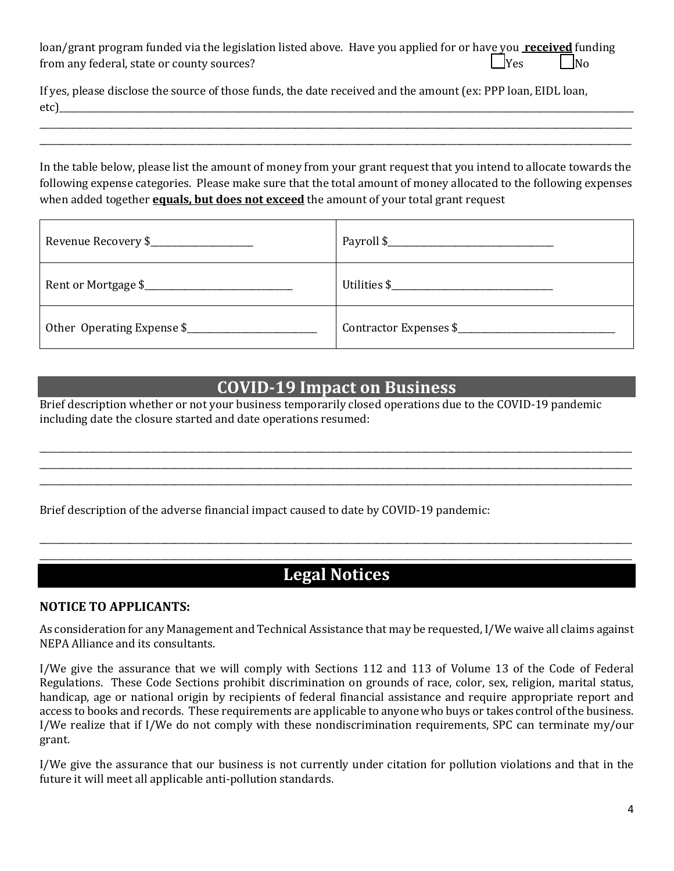| loan/grant program funded via the legislation listed above. Have you applied for or have you received funding |            |                     |
|---------------------------------------------------------------------------------------------------------------|------------|---------------------|
| from any federal, state or county sources?                                                                    | $\Box$ Yes | $\overline{\rm No}$ |

| If yes, please disclose the source of those funds, the date received and the amount (ex: PPP loan, EIDL loan, |  |
|---------------------------------------------------------------------------------------------------------------|--|
| etc)                                                                                                          |  |

In the table below, please list the amount of money from your grant request that you intend to allocate towards the following expense categories. Please make sure that the total amount of money allocated to the following expenses when added together **equals, but does not exceed** the amount of your total grant request

\_\_\_\_\_\_\_\_\_\_\_\_\_\_\_\_\_\_\_\_\_\_\_\_\_\_\_\_\_\_\_\_\_\_\_\_\_\_\_\_\_\_\_\_\_\_\_\_\_\_\_\_\_\_\_\_\_\_\_\_\_\_\_\_\_\_\_\_\_\_\_\_\_\_\_\_\_\_\_\_\_\_\_\_\_\_\_\_\_\_\_\_\_\_\_\_\_\_\_\_\_\_\_\_\_\_\_\_\_\_\_\_\_\_\_\_\_\_\_\_\_\_\_\_\_\_\_\_\_\_\_\_ \_\_\_\_\_\_\_\_\_\_\_\_\_\_\_\_\_\_\_\_\_\_\_\_\_\_\_\_\_\_\_\_\_\_\_\_\_\_\_\_\_\_\_\_\_\_\_\_\_\_\_\_\_\_\_\_\_\_\_\_\_\_\_\_\_\_\_\_\_\_\_\_\_\_\_\_\_\_\_\_\_\_\_\_\_\_\_\_\_\_\_\_\_\_\_\_\_\_\_\_\_\_\_\_\_\_\_\_\_\_\_\_\_\_\_\_\_\_\_\_\_\_\_\_\_\_\_\_\_\_\_\_

| Revenue Recovery \$        |                        |
|----------------------------|------------------------|
|                            |                        |
| Other Operating Expense \$ | Contractor Expenses \$ |

### **COVID-19 Impact on Business**

\_\_\_\_\_\_\_\_\_\_\_\_\_\_\_\_\_\_\_\_\_\_\_\_\_\_\_\_\_\_\_\_\_\_\_\_\_\_\_\_\_\_\_\_\_\_\_\_\_\_\_\_\_\_\_\_\_\_\_\_\_\_\_\_\_\_\_\_\_\_\_\_\_\_\_\_\_\_\_\_\_\_\_\_\_\_\_\_\_\_\_\_\_\_\_\_\_\_\_\_\_\_\_\_\_\_\_\_\_\_\_\_\_\_\_\_\_\_\_\_\_\_\_\_\_\_\_\_\_\_\_\_ \_\_\_\_\_\_\_\_\_\_\_\_\_\_\_\_\_\_\_\_\_\_\_\_\_\_\_\_\_\_\_\_\_\_\_\_\_\_\_\_\_\_\_\_\_\_\_\_\_\_\_\_\_\_\_\_\_\_\_\_\_\_\_\_\_\_\_\_\_\_\_\_\_\_\_\_\_\_\_\_\_\_\_\_\_\_\_\_\_\_\_\_\_\_\_\_\_\_\_\_\_\_\_\_\_\_\_\_\_\_\_\_\_\_\_\_\_\_\_\_\_\_\_\_\_\_\_\_\_\_\_\_ \_\_\_\_\_\_\_\_\_\_\_\_\_\_\_\_\_\_\_\_\_\_\_\_\_\_\_\_\_\_\_\_\_\_\_\_\_\_\_\_\_\_\_\_\_\_\_\_\_\_\_\_\_\_\_\_\_\_\_\_\_\_\_\_\_\_\_\_\_\_\_\_\_\_\_\_\_\_\_\_\_\_\_\_\_\_\_\_\_\_\_\_\_\_\_\_\_\_\_\_\_\_\_\_\_\_\_\_\_\_\_\_\_\_\_\_\_\_\_\_\_\_\_\_\_\_\_\_\_\_\_\_

Brief description whether or not your business temporarily closed operations due to the COVID-19 pandemic including date the closure started and date operations resumed:

Brief description of the adverse financial impact caused to date by COVID-19 pandemic:

### \_\_\_\_\_\_\_\_\_\_\_\_\_\_\_\_\_\_\_\_\_\_\_\_\_\_\_\_\_\_\_\_\_\_\_\_\_\_\_\_\_\_\_\_\_\_\_\_\_\_\_\_\_\_\_\_\_\_\_\_\_\_\_\_\_\_\_\_\_\_\_\_\_\_\_\_\_\_\_\_\_\_\_\_\_\_\_\_\_\_\_\_\_\_\_\_\_\_\_\_\_\_\_\_\_\_\_\_\_\_\_\_\_\_\_\_\_\_\_\_\_\_\_\_\_\_\_\_\_\_\_\_ **Legal Notices**

\_\_\_\_\_\_\_\_\_\_\_\_\_\_\_\_\_\_\_\_\_\_\_\_\_\_\_\_\_\_\_\_\_\_\_\_\_\_\_\_\_\_\_\_\_\_\_\_\_\_\_\_\_\_\_\_\_\_\_\_\_\_\_\_\_\_\_\_\_\_\_\_\_\_\_\_\_\_\_\_\_\_\_\_\_\_\_\_\_\_\_\_\_\_\_\_\_\_\_\_\_\_\_\_\_\_\_\_\_\_\_\_\_\_\_\_\_\_\_\_\_\_\_\_\_\_\_\_\_\_\_\_

### **NOTICE TO APPLICANTS:**

As consideration for any Management and Technical Assistance that may be requested, I/We waive all claims against NEPA Alliance and its consultants.

I/We give the assurance that we will comply with Sections 112 and 113 of Volume 13 of the Code of Federal Regulations. These Code Sections prohibit discrimination on grounds of race, color, sex, religion, marital status, handicap, age or national origin by recipients of federal financial assistance and require appropriate report and access to books and records. These requirements are applicable to anyone who buys or takes control of the business. I/We realize that if I/We do not comply with these nondiscrimination requirements, SPC can terminate my/our grant.

I/We give the assurance that our business is not currently under citation for pollution violations and that in the future it will meet all applicable anti-pollution standards.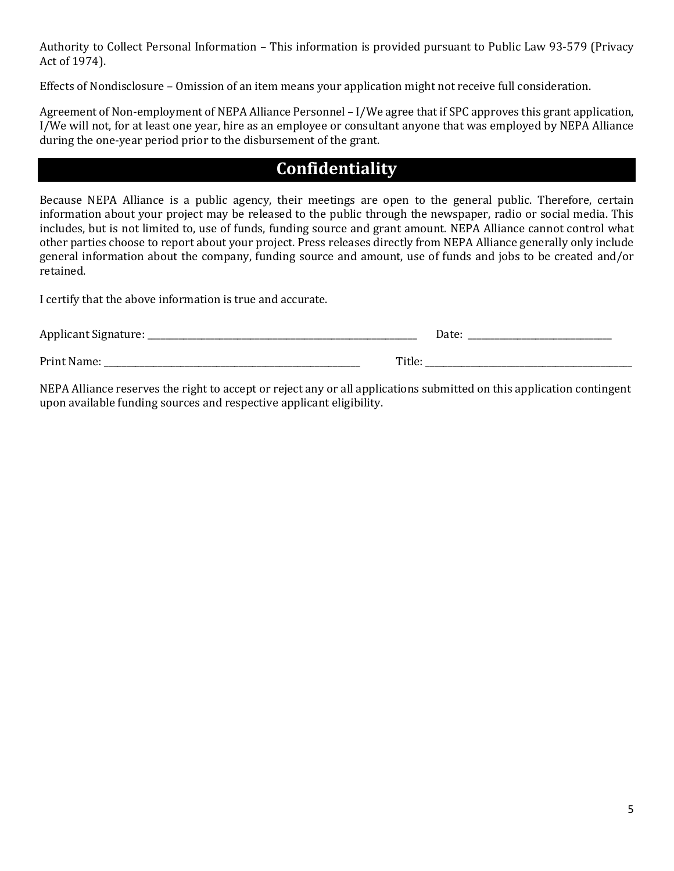Authority to Collect Personal Information – This information is provided pursuant to Public Law 93-579 (Privacy Act of 1974).

Effects of Nondisclosure – Omission of an item means your application might not receive full consideration.

Agreement of Non-employment of NEPA Alliance Personnel – I/We agree that if SPC approves this grant application, I/We will not, for at least one year, hire as an employee or consultant anyone that was employed by NEPA Alliance during the one-year period prior to the disbursement of the grant.

# **Confidentiality**

Because NEPA Alliance is a public agency, their meetings are open to the general public. Therefore, certain information about your project may be released to the public through the newspaper, radio or social media. This includes, but is not limited to, use of funds, funding source and grant amount. NEPA Alliance cannot control what other parties choose to report about your project. Press releases directly from NEPA Alliance generally only include general information about the company, funding source and amount, use of funds and jobs to be created and/or retained.

I certify that the above information is true and accurate.

| Applicant Signature: _ |        | Date: |
|------------------------|--------|-------|
| Print Name:            | Title: |       |

NEPA Alliance reserves the right to accept or reject any or all applications submitted on this application contingent upon available funding sources and respective applicant eligibility.